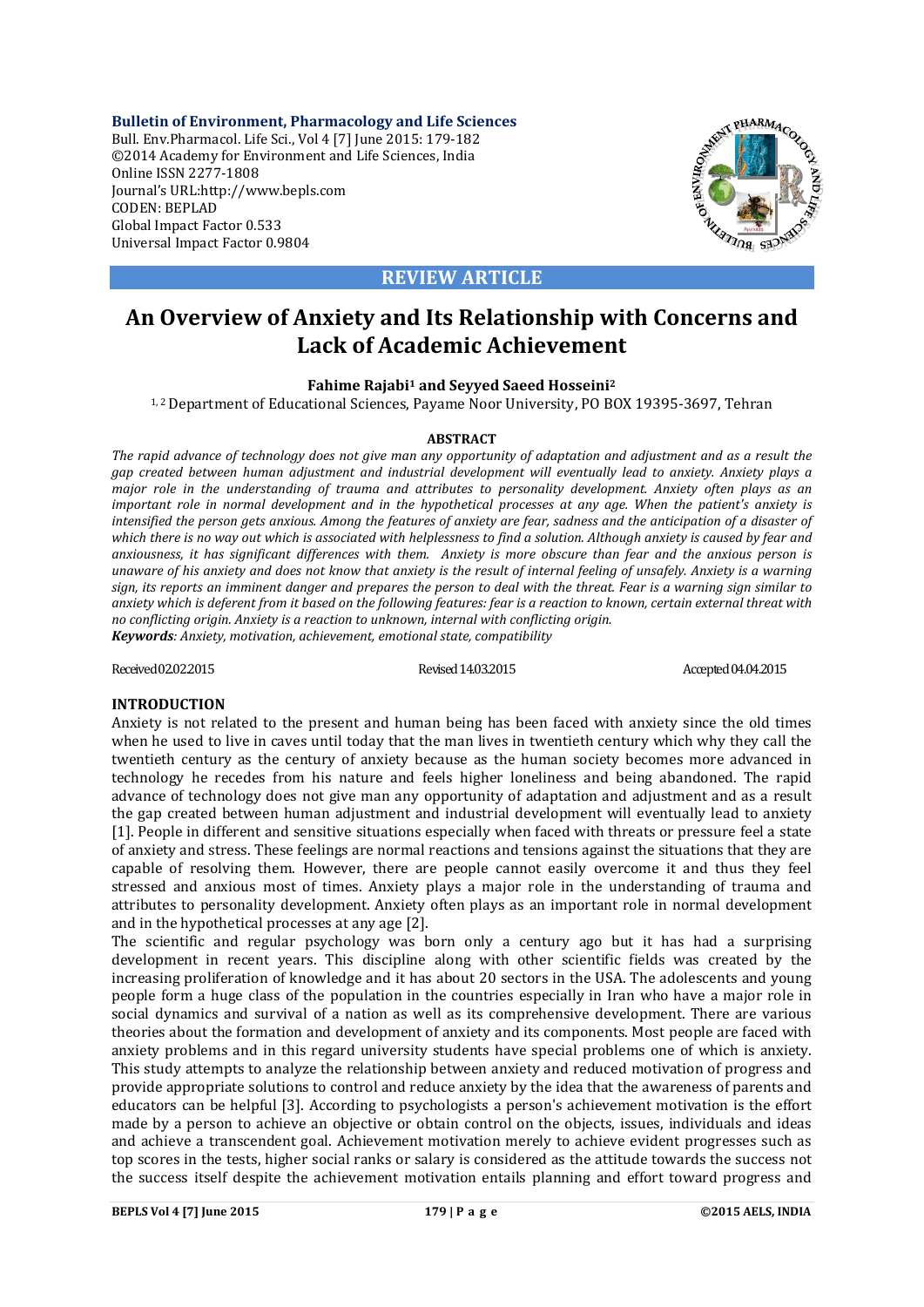**Bulletin of Environment, Pharmacology and Life Sciences** Bull. Env.Pharmacol. Life Sci., Vol 4 [7] June 2015: 179-182 ©2014 Academy for Environment and Life Sciences, India Online ISSN 2277-1808 Journal's URL:http://www.bepls.com CODEN: BEPLAD Global Impact Factor 0.533 Universal Impact Factor 0.9804



**REVIEW ARTICLE**

# **An Overview of Anxiety and Its Relationship with Concerns and Lack of Academic Achievement**

## **Fahime Rajabi1 and Seyyed Saeed Hosseini2**

<sup>1,2</sup> Department of Educational Sciences, Payame Noor University, PO BOX 19395-3697, Tehran

#### **ABSTRACT**

*The rapid advance of technology does not give man any opportunity of adaptation and adjustment and as a result the gap created between human adjustment and industrial development will eventually lead to anxiety. Anxiety plays a major role in the understanding of trauma and attributes to personality development. Anxiety often plays as an important role in normal development and in the hypothetical processes at any age. When the patient's anxiety is intensified the person gets anxious. Among the features of anxiety are fear, sadness and the anticipation of a disaster of which there is no way out which is associated with helplessness to find a solution. Although anxiety is caused by fear and anxiousness, it has significant differences with them. Anxiety is more obscure than fear and the anxious person is unaware of his anxiety and does not know that anxiety is the result of internal feeling of unsafely. Anxiety is a warning sign, its reports an imminent danger and prepares the person to deal with the threat. Fear is a warning sign similar to anxiety which is deferent from it based on the following features: fear is a reaction to known, certain external threat with no conflicting origin. Anxiety is a reaction to unknown, internal with conflicting origin. Keywords: Anxiety, motivation, achievement, emotional state, compatibility*

Received 02.02.2015 Revised 14.03.2015 Revised 14.03.2015 Accepted 04.04.2015

## **INTRODUCTION**

Anxiety is not related to the present and human being has been faced with anxiety since the old times when he used to live in caves until today that the man lives in twentieth century which why they call the twentieth century as the century of anxiety because as the human society becomes more advanced in technology he recedes from his nature and feels higher loneliness and being abandoned. The rapid advance of technology does not give man any opportunity of adaptation and adjustment and as a result the gap created between human adjustment and industrial development will eventually lead to anxiety [1]. People in different and sensitive situations especially when faced with threats or pressure feel a state of anxiety and stress. These feelings are normal reactions and tensions against the situations that they are capable of resolving them. However, there are people cannot easily overcome it and thus they feel stressed and anxious most of times. Anxiety plays a major role in the understanding of trauma and attributes to personality development. Anxiety often plays as an important role in normal development and in the hypothetical processes at any age [2].

The scientific and regular psychology was born only a century ago but it has had a surprising development in recent years. This discipline along with other scientific fields was created by the increasing proliferation of knowledge and it has about 20 sectors in the USA. The adolescents and young people form a huge class of the population in the countries especially in Iran who have a major role in social dynamics and survival of a nation as well as its comprehensive development. There are various theories about the formation and development of anxiety and its components. Most people are faced with anxiety problems and in this regard university students have special problems one of which is anxiety. This study attempts to analyze the relationship between anxiety and reduced motivation of progress and provide appropriate solutions to control and reduce anxiety by the idea that the awareness of parents and educators can be helpful [3]. According to psychologists a person's achievement motivation is the effort made by a person to achieve an objective or obtain control on the objects, issues, individuals and ideas and achieve a transcendent goal. Achievement motivation merely to achieve evident progresses such as top scores in the tests, higher social ranks or salary is considered as the attitude towards the success not the success itself despite the achievement motivation entails planning and effort toward progress and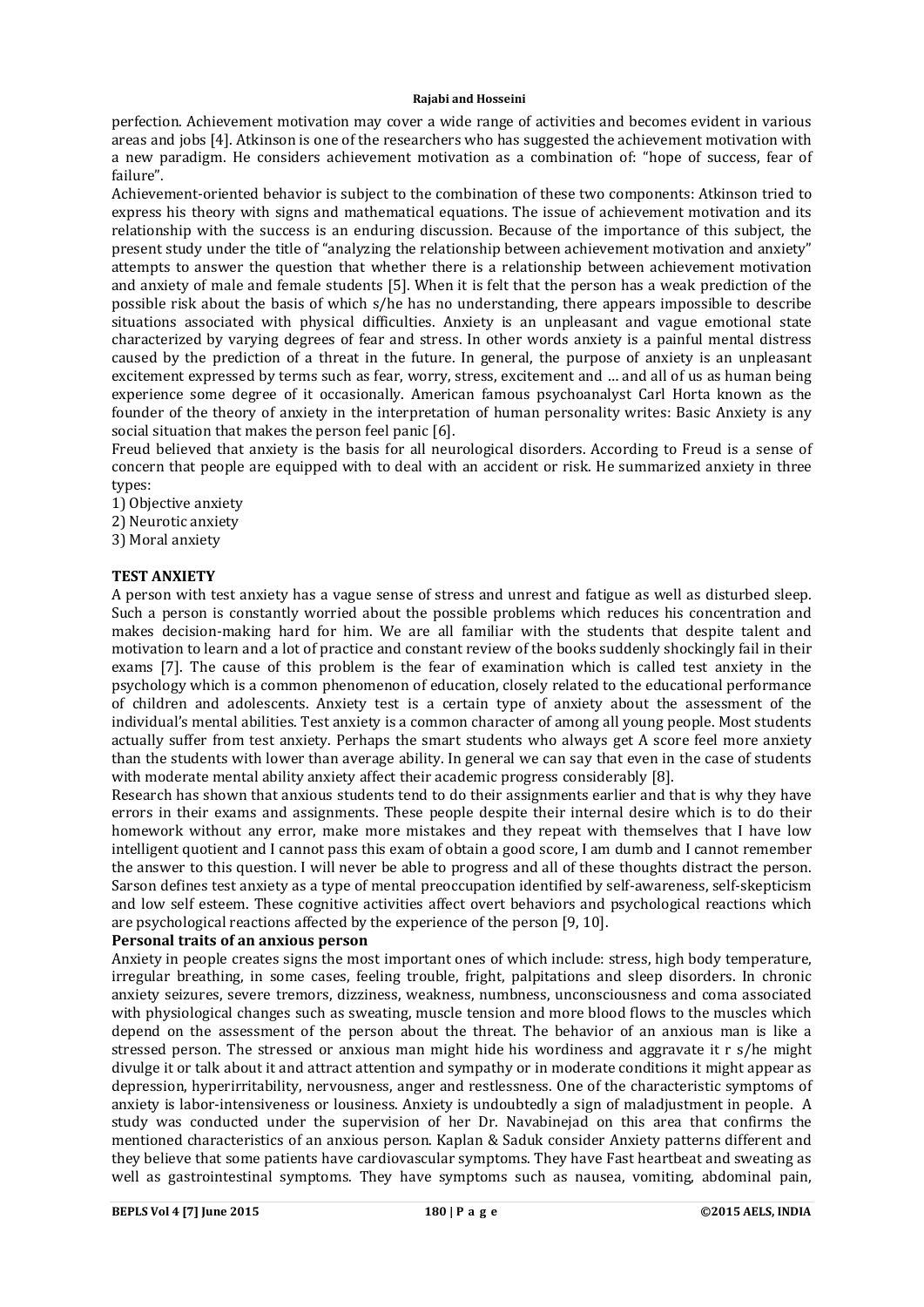#### **Rajabi and Hosseini**

perfection. Achievement motivation may cover a wide range of activities and becomes evident in various areas and jobs [4]. Atkinson is one of the researchers who has suggested the achievement motivation with a new paradigm. He considers achievement motivation as a combination of: "hope of success, fear of failure".

Achievement-oriented behavior is subject to the combination of these two components: Atkinson tried to express his theory with signs and mathematical equations. The issue of achievement motivation and its relationship with the success is an enduring discussion. Because of the importance of this subject, the present study under the title of "analyzing the relationship between achievement motivation and anxiety" attempts to answer the question that whether there is a relationship between achievement motivation and anxiety of male and female students [5]. When it is felt that the person has a weak prediction of the possible risk about the basis of which s/he has no understanding, there appears impossible to describe situations associated with physical difficulties. Anxiety is an unpleasant and vague emotional state characterized by varying degrees of fear and stress. In other words anxiety is a painful mental distress caused by the prediction of a threat in the future. In general, the purpose of anxiety is an unpleasant excitement expressed by terms such as fear, worry, stress, excitement and … and all of us as human being experience some degree of it occasionally. American famous psychoanalyst Carl Horta known as the founder of the theory of anxiety in the interpretation of human personality writes: Basic Anxiety is any social situation that makes the person feel panic [6].

Freud believed that anxiety is the basis for all neurological disorders. According to Freud is a sense of concern that people are equipped with to deal with an accident or risk. He summarized anxiety in three types:

- 1) Objective anxiety
- 2) Neurotic anxiety
- 3) Moral anxiety

## **TEST ANXIETY**

A person with test anxiety has a vague sense of stress and unrest and fatigue as well as disturbed sleep. Such a person is constantly worried about the possible problems which reduces his concentration and makes decision-making hard for him. We are all familiar with the students that despite talent and motivation to learn and a lot of practice and constant review of the books suddenly shockingly fail in their exams [7]. The cause of this problem is the fear of examination which is called test anxiety in the psychology which is a common phenomenon of education, closely related to the educational performance of children and adolescents. Anxiety test is a certain type of anxiety about the assessment of the individual's mental abilities. Test anxiety is a common character of among all young people. Most students actually suffer from test anxiety. Perhaps the smart students who always get A score feel more anxiety than the students with lower than average ability. In general we can say that even in the case of students with moderate mental ability anxiety affect their academic progress considerably [8].

Research has shown that anxious students tend to do their assignments earlier and that is why they have errors in their exams and assignments. These people despite their internal desire which is to do their homework without any error, make more mistakes and they repeat with themselves that I have low intelligent quotient and I cannot pass this exam of obtain a good score, I am dumb and I cannot remember the answer to this question. I will never be able to progress and all of these thoughts distract the person. Sarson defines test anxiety as a type of mental preoccupation identified by self-awareness, self-skepticism and low self esteem. These cognitive activities affect overt behaviors and psychological reactions which are psychological reactions affected by the experience of the person [9, 10].

### **Personal traits of an anxious person**

Anxiety in people creates signs the most important ones of which include: stress, high body temperature, irregular breathing, in some cases, feeling trouble, fright, palpitations and sleep disorders. In chronic anxiety seizures, severe tremors, dizziness, weakness, numbness, unconsciousness and coma associated with physiological changes such as sweating, muscle tension and more blood flows to the muscles which depend on the assessment of the person about the threat. The behavior of an anxious man is like a stressed person. The stressed or anxious man might hide his wordiness and aggravate it r s/he might divulge it or talk about it and attract attention and sympathy or in moderate conditions it might appear as depression, hyperirritability, nervousness, anger and restlessness. One of the characteristic symptoms of anxiety is labor-intensiveness or lousiness. Anxiety is undoubtedly a sign of maladjustment in people. A study was conducted under the supervision of her Dr. Navabinejad on this area that confirms the mentioned characteristics of an anxious person. Kaplan & Saduk consider Anxiety patterns different and they believe that some patients have cardiovascular symptoms. They have Fast heartbeat and sweating as well as gastrointestinal symptoms. They have symptoms such as nausea, vomiting, abdominal pain,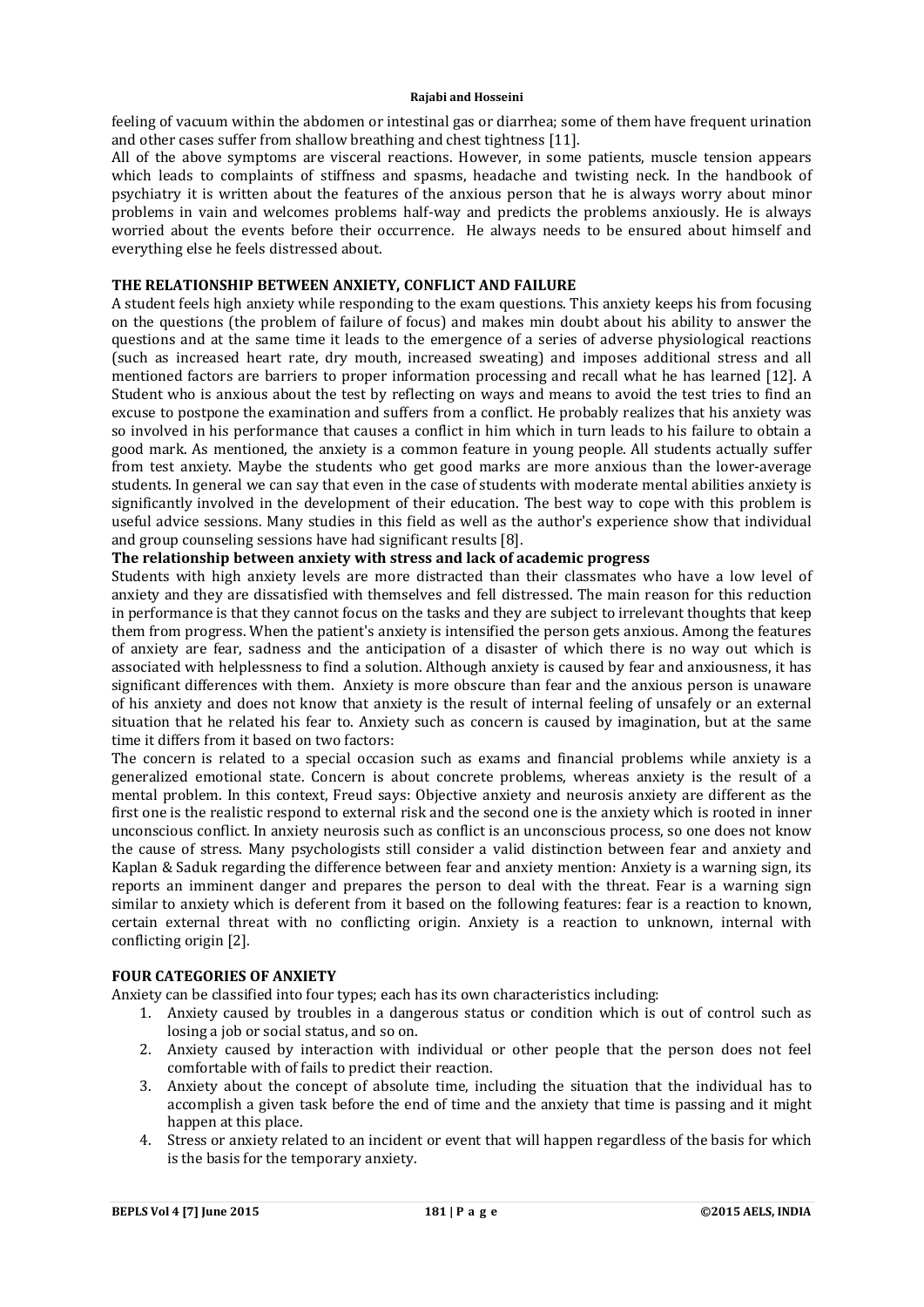#### **Rajabi and Hosseini**

feeling of vacuum within the abdomen or intestinal gas or diarrhea; some of them have frequent urination and other cases suffer from shallow breathing and chest tightness [11].

All of the above symptoms are visceral reactions. However, in some patients, muscle tension appears which leads to complaints of stiffness and spasms, headache and twisting neck. In the handbook of psychiatry it is written about the features of the anxious person that he is always worry about minor problems in vain and welcomes problems half-way and predicts the problems anxiously. He is always worried about the events before their occurrence. He always needs to be ensured about himself and everything else he feels distressed about.

# **THE RELATIONSHIP BETWEEN ANXIETY, CONFLICT AND FAILURE**

A student feels high anxiety while responding to the exam questions. This anxiety keeps his from focusing on the questions (the problem of failure of focus) and makes min doubt about his ability to answer the questions and at the same time it leads to the emergence of a series of adverse physiological reactions (such as increased heart rate, dry mouth, increased sweating) and imposes additional stress and all mentioned factors are barriers to proper information processing and recall what he has learned [12]. A Student who is anxious about the test by reflecting on ways and means to avoid the test tries to find an excuse to postpone the examination and suffers from a conflict. He probably realizes that his anxiety was so involved in his performance that causes a conflict in him which in turn leads to his failure to obtain a good mark. As mentioned, the anxiety is a common feature in young people. All students actually suffer from test anxiety. Maybe the students who get good marks are more anxious than the lower-average students. In general we can say that even in the case of students with moderate mental abilities anxiety is significantly involved in the development of their education. The best way to cope with this problem is useful advice sessions. Many studies in this field as well as the author's experience show that individual and group counseling sessions have had significant results [8].

## **The relationship between anxiety with stress and lack of academic progress**

Students with high anxiety levels are more distracted than their classmates who have a low level of anxiety and they are dissatisfied with themselves and fell distressed. The main reason for this reduction in performance is that they cannot focus on the tasks and they are subject to irrelevant thoughts that keep them from progress. When the patient's anxiety is intensified the person gets anxious. Among the features of anxiety are fear, sadness and the anticipation of a disaster of which there is no way out which is associated with helplessness to find a solution. Although anxiety is caused by fear and anxiousness, it has significant differences with them. Anxiety is more obscure than fear and the anxious person is unaware of his anxiety and does not know that anxiety is the result of internal feeling of unsafely or an external situation that he related his fear to. Anxiety such as concern is caused by imagination, but at the same time it differs from it based on two factors:

The concern is related to a special occasion such as exams and financial problems while anxiety is a generalized emotional state. Concern is about concrete problems, whereas anxiety is the result of a mental problem. In this context, Freud says: Objective anxiety and neurosis anxiety are different as the first one is the realistic respond to external risk and the second one is the anxiety which is rooted in inner unconscious conflict. In anxiety neurosis such as conflict is an unconscious process, so one does not know the cause of stress. Many psychologists still consider a valid distinction between fear and anxiety and Kaplan & Saduk regarding the difference between fear and anxiety mention: Anxiety is a warning sign, its reports an imminent danger and prepares the person to deal with the threat. Fear is a warning sign similar to anxiety which is deferent from it based on the following features: fear is a reaction to known, certain external threat with no conflicting origin. Anxiety is a reaction to unknown, internal with conflicting origin [2].

## **FOUR CATEGORIES OF ANXIETY**

Anxiety can be classified into four types; each has its own characteristics including:

- 1. Anxiety caused by troubles in a dangerous status or condition which is out of control such as losing a job or social status, and so on.
- 2. Anxiety caused by interaction with individual or other people that the person does not feel comfortable with of fails to predict their reaction.
- 3. Anxiety about the concept of absolute time, including the situation that the individual has to accomplish a given task before the end of time and the anxiety that time is passing and it might happen at this place.
- 4. Stress or anxiety related to an incident or event that will happen regardless of the basis for which is the basis for the temporary anxiety.